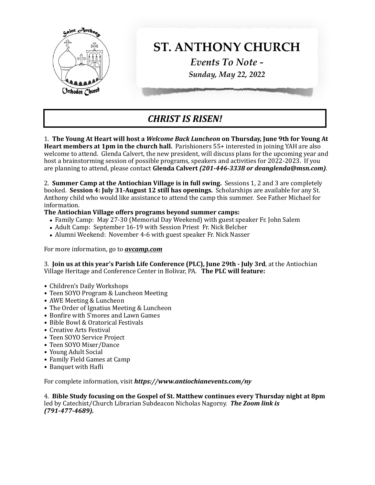

## *CHRIST IS RISEN!*

1. The Young At Heart will host a Welcome Back Luncheon on Thursday, June 9th for Young At **Heart members at 1pm in the church hall.** Parishioners 55+ interested in joining YAH are also welcome to attend. Glenda Calvert, the new president, will discuss plans for the upcoming year and host a brainstorming session of possible programs, speakers and activities for 2022-2023. If you are planning to attend, please contact Glenda Calvert (201-446-3338 or deanglenda@msn.com).

2. **Summer Camp at the Antiochian Village is in full swing.** Sessions 1, 2 and 3 are completely booked. **Session 4: July 31-August 12 still has openings.** Scholarships are available for any St. Anthony child who would like assistance to attend the camp this summer. See Father Michael for information. 

## The Antiochian Village offers programs beyond summer camps:

- Family Camp: May 27-30 (Memorial Day Weekend) with guest speaker Fr. John Salem
- Adult Camp: September 16-19 with Session Priest Fr. Nick Belcher
- Alumni Weekend: November 4-6 with guest speaker Fr. Nick Nasser

For more information, go to *avcamp.com* 

3. **Join us at this year's Parish Life Conference (PLC), June 29th - July 3rd, at the Antiochian** Village Heritage and Conference Center in Bolivar, PA. The PLC will feature:

- Children's Daily Workshops
- Teen SOYO Program & Luncheon Meeting
- AWE Meeting & Luncheon
- The Order of Ignatius Meeting & Luncheon
- Bonfire with S'mores and Lawn Games
- Bible Bowl & Oratorical Festivals
- Creative Arts Festival
- **•** Teen SOYO Service Project
- Teen SOYO Mixer/Dance
- Young Adult Social
- **•** Family Field Games at Camp
- Banquet with Hafli

For complete information, visit **https://www.antiochianevents.com/ny** 

4. Bible Study focusing on the Gospel of St. Matthew continues every Thursday night at 8pm led by Catechist/Church Librarian Subdeacon Nicholas Nagorny. **The Zoom link is** *(791-477-4689).*